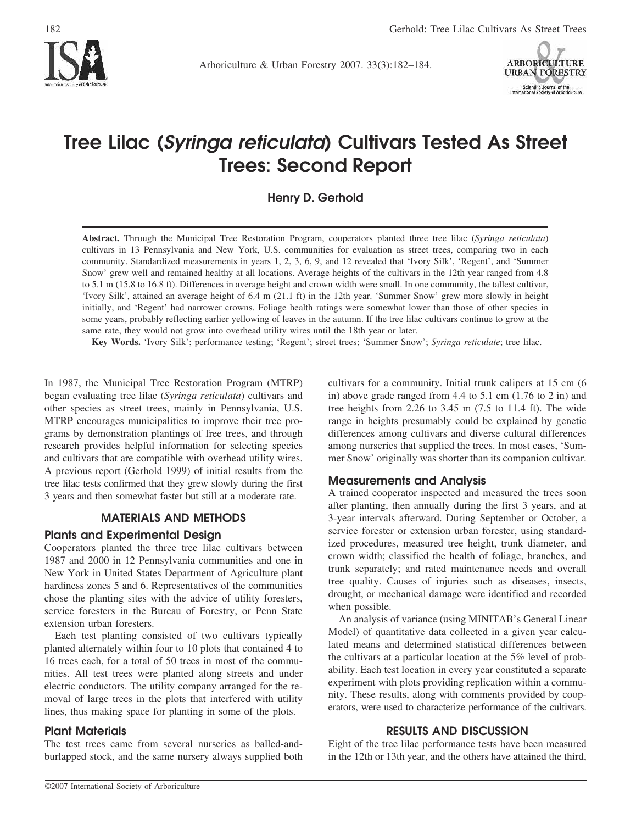

Arboriculture & Urban Forestry 2007. 33(3):182–184.



# **Tree Lilac (***Syringa reticulata***) Cultivars Tested As Street Trees: Second Report**

**Henry D. Gerhold**

**Abstract.** Through the Municipal Tree Restoration Program, cooperators planted three tree lilac (*Syringa reticulata*) cultivars in 13 Pennsylvania and New York, U.S. communities for evaluation as street trees, comparing two in each community. Standardized measurements in years 1, 2, 3, 6, 9, and 12 revealed that 'Ivory Silk', 'Regent', and 'Summer Snow' grew well and remained healthy at all locations. Average heights of the cultivars in the 12th year ranged from 4.8 to 5.1 m (15.8 to 16.8 ft). Differences in average height and crown width were small. In one community, the tallest cultivar, 'Ivory Silk', attained an average height of 6.4 m (21.1 ft) in the 12th year. 'Summer Snow' grew more slowly in height initially, and 'Regent' had narrower crowns. Foliage health ratings were somewhat lower than those of other species in some years, probably reflecting earlier yellowing of leaves in the autumn. If the tree lilac cultivars continue to grow at the same rate, they would not grow into overhead utility wires until the 18th year or later.

**Key Words.** 'Ivory Silk'; performance testing; 'Regent'; street trees; 'Summer Snow'; *Syringa reticulate*; tree lilac.

In 1987, the Municipal Tree Restoration Program (MTRP) began evaluating tree lilac (*Syringa reticulata*) cultivars and other species as street trees, mainly in Pennsylvania, U.S. MTRP encourages municipalities to improve their tree programs by demonstration plantings of free trees, and through research provides helpful information for selecting species and cultivars that are compatible with overhead utility wires. A previous report (Gerhold 1999) of initial results from the tree lilac tests confirmed that they grew slowly during the first 3 years and then somewhat faster but still at a moderate rate.

#### **MATERIALS AND METHODS**

#### **Plants and Experimental Design**

Cooperators planted the three tree lilac cultivars between 1987 and 2000 in 12 Pennsylvania communities and one in New York in United States Department of Agriculture plant hardiness zones 5 and 6. Representatives of the communities chose the planting sites with the advice of utility foresters, service foresters in the Bureau of Forestry, or Penn State extension urban foresters.

Each test planting consisted of two cultivars typically planted alternately within four to 10 plots that contained 4 to 16 trees each, for a total of 50 trees in most of the communities. All test trees were planted along streets and under electric conductors. The utility company arranged for the removal of large trees in the plots that interfered with utility lines, thus making space for planting in some of the plots.

#### **Plant Materials**

The test trees came from several nurseries as balled-andburlapped stock, and the same nursery always supplied both cultivars for a community. Initial trunk calipers at 15 cm (6 in) above grade ranged from 4.4 to 5.1 cm (1.76 to 2 in) and tree heights from  $2.26$  to  $3.45$  m  $(7.5$  to  $11.4$  ft). The wide range in heights presumably could be explained by genetic differences among cultivars and diverse cultural differences among nurseries that supplied the trees. In most cases, 'Summer Snow' originally was shorter than its companion cultivar.

#### **Measurements and Analysis**

A trained cooperator inspected and measured the trees soon after planting, then annually during the first 3 years, and at 3-year intervals afterward. During September or October, a service forester or extension urban forester, using standardized procedures, measured tree height, trunk diameter, and crown width; classified the health of foliage, branches, and trunk separately; and rated maintenance needs and overall tree quality. Causes of injuries such as diseases, insects, drought, or mechanical damage were identified and recorded when possible.

An analysis of variance (using MINITAB's General Linear Model) of quantitative data collected in a given year calculated means and determined statistical differences between the cultivars at a particular location at the 5% level of probability. Each test location in every year constituted a separate experiment with plots providing replication within a community. These results, along with comments provided by cooperators, were used to characterize performance of the cultivars.

#### **RESULTS AND DISCUSSION**

Eight of the tree lilac performance tests have been measured in the 12th or 13th year, and the others have attained the third,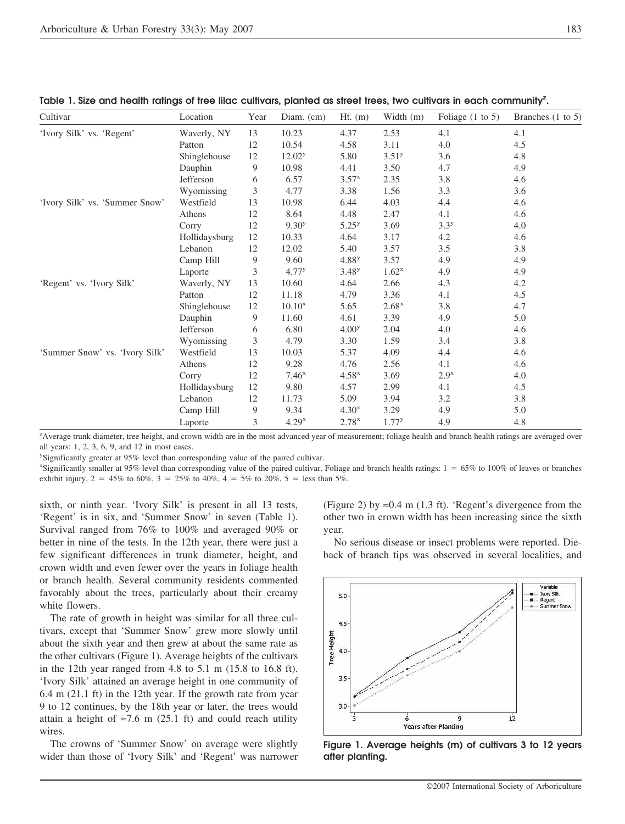| Cultivar                       | Location      | Year | Diam. $(cm)$       | $Ht.$ (m)         | Width $(m)$       | Foliage $(1 \text{ to } 5)$ | Branches $(1 \text{ to } 5)$ |
|--------------------------------|---------------|------|--------------------|-------------------|-------------------|-----------------------------|------------------------------|
| 'Ivory Silk' vs. 'Regent'      | Waverly, NY   | 13   | 10.23              | 4.37              | 2.53              | 4.1                         | 4.1                          |
|                                | Patton        | 12   | 10.54              | 4.58              | 3.11              | 4.0                         | 4.5                          |
|                                | Shinglehouse  | 12   | 12.02 <sup>y</sup> | 5.80              | 3.51 <sup>y</sup> | 3.6                         | 4.8                          |
|                                | Dauphin       | 9    | 10.98              | 4.41              | 3.50              | 4.7                         | 4.9                          |
|                                | Jefferson     | 6    | 6.57               | $3.57^{x}$        | 2.35              | 3.8                         | 4.6                          |
|                                | Wyomissing    | 3    | 4.77               | 3.38              | 1.56              | 3.3                         | 3.6                          |
| 'Ivory Silk' vs. 'Summer Snow' | Westfield     | 13   | 10.98              | 6.44              | 4.03              | 4.4                         | 4.6                          |
|                                | Athens        | 12   | 8.64               | 4.48              | 2.47              | 4.1                         | 4.6                          |
|                                | Corry         | 12   | 9.30 <sup>y</sup>  | $5.25^{y}$        | 3.69              | 3.3 <sup>y</sup>            | 4.0                          |
|                                | Hollidaysburg | 12   | 10.33              | 4.64              | 3.17              | 4.2                         | 4.6                          |
|                                | Lebanon       | 12   | 12.02              | 5.40              | 3.57              | 3.5                         | 3.8                          |
|                                | Camp Hill     | 9    | 9.60               | 4.88 <sup>y</sup> | 3.57              | 4.9                         | 4.9                          |
|                                | Laporte       | 3    | $4.77^{y}$         | 3.48 <sup>y</sup> | $1.62^x$          | 4.9                         | 4.9                          |
| 'Regent' vs. 'Ivory Silk'      | Waverly, NY   | 13   | 10.60              | 4.64              | 2.66              | 4.3                         | 4.2                          |
|                                | Patton        | 12   | 11.18              | 4.79              | 3.36              | 4.1                         | 4.5                          |
|                                | Shinglehouse  | 12   | $10.10^{x}$        | 5.65              | $2.68^x$          | 3.8                         | 4.7                          |
|                                | Dauphin       | 9    | 11.60              | 4.61              | 3.39              | 4.9                         | 5.0                          |
|                                | Jefferson     | 6    | 6.80               | 4.00 <sup>y</sup> | 2.04              | 4.0                         | 4.6                          |
|                                | Wyomissing    | 3    | 4.79               | 3.30              | 1.59              | 3.4                         | 3.8                          |
| 'Summer Snow' vs. 'Ivory Silk' | Westfield     | 13   | 10.03              | 5.37              | 4.09              | 4.4                         | 4.6                          |
|                                | Athens        | 12   | 9.28               | 4.76              | 2.56              | 4.1                         | 4.6                          |
|                                | Corry         | 12   | $7.46^x$           | $4.58^x$          | 3.69              | $2.9^x$                     | 4.0                          |
|                                | Hollidaysburg | 12   | 9.80               | 4.57              | 2.99              | 4.1                         | 4.5                          |
|                                | Lebanon       | 12   | 11.73              | 5.09              | 3.94              | 3.2                         | 3.8                          |
|                                | Camp Hill     | 9    | 9.34               | 4.30 <sup>x</sup> | 3.29              | 4.9                         | 5.0                          |
|                                | Laporte       | 3    | $4.29^{x}$         | $2.78^{x}$        | $1.77^{y}$        | 4.9                         | 4.8                          |

Table 1. Size and health ratings of tree lilac cultivars, planted as street trees, two cultivars in each community<sup>z</sup>.

z Average trunk diameter, tree height, and crown width are in the most advanced year of measurement; foliage health and branch health ratings are averaged over all years: 1, 2, 3, 6, 9, and 12 in most cases.

y Significantly greater at 95% level than corresponding value of the paired cultivar.

x Significantly smaller at 95% level than corresponding value of the paired cultivar. Foliage and branch health ratings: 1 65% to 100% of leaves or branches exhibit injury,  $2 = 45\%$  to 60%,  $3 = 25\%$  to 40%,  $4 = 5\%$  to 20%,  $5 =$  less than 5%.

sixth, or ninth year. 'Ivory Silk' is present in all 13 tests, 'Regent' is in six, and 'Summer Snow' in seven (Table 1). Survival ranged from 76% to 100% and averaged 90% or better in nine of the tests. In the 12th year, there were just a few significant differences in trunk diameter, height, and crown width and even fewer over the years in foliage health or branch health. Several community residents commented favorably about the trees, particularly about their creamy white flowers.

The rate of growth in height was similar for all three cultivars, except that 'Summer Snow' grew more slowly until about the sixth year and then grew at about the same rate as the other cultivars (Figure 1). Average heights of the cultivars in the 12th year ranged from 4.8 to 5.1 m (15.8 to 16.8 ft). 'Ivory Silk' attained an average height in one community of 6.4 m (21.1 ft) in the 12th year. If the growth rate from year 9 to 12 continues, by the 18th year or later, the trees would attain a height of  $\approx$ 7.6 m (25.1 ft) and could reach utility wires.

The crowns of 'Summer Snow' on average were slightly wider than those of 'Ivory Silk' and 'Regent' was narrower (Figure 2) by  $\approx 0.4$  m (1.3 ft). 'Regent's divergence from the other two in crown width has been increasing since the sixth year.

No serious disease or insect problems were reported. Dieback of branch tips was observed in several localities, and



**Figure 1. Average heights (m) of cultivars 3 to 12 years after planting.**